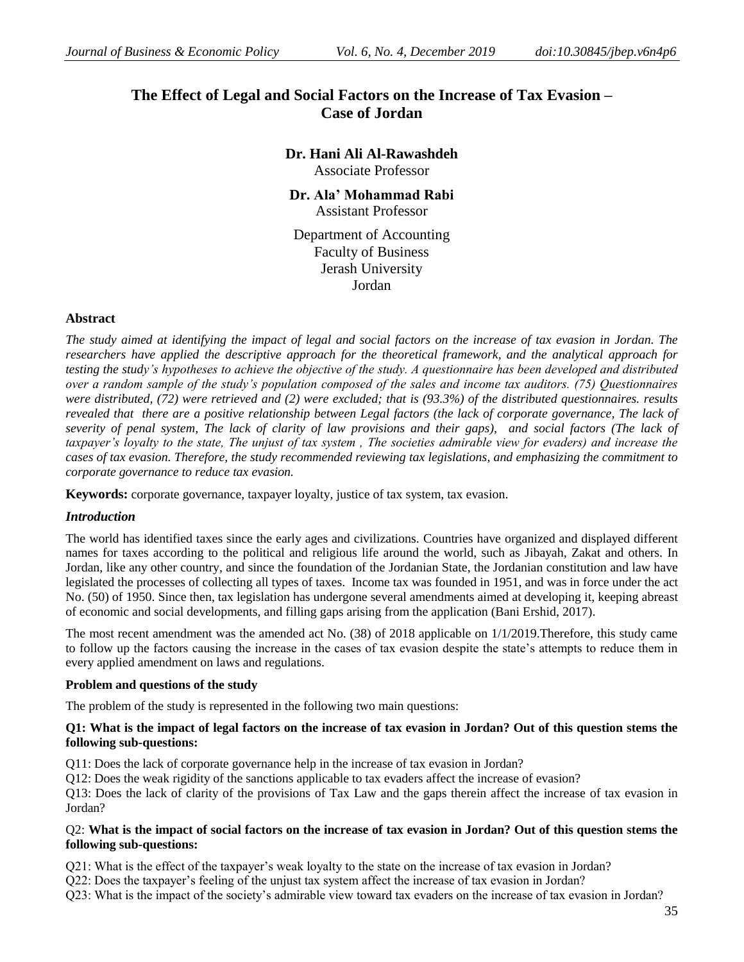# **The Effect of Legal and Social Factors on the Increase of Tax Evasion – Case of Jordan**

**Dr. Hani Ali Al-Rawashdeh** Associate Professor

**Dr. Ala' Mohammad Rabi** Assistant Professor

Department of Accounting Faculty of Business Jerash University Jordan

# **Abstract**

*The study aimed at identifying the impact of legal and social factors on the increase of tax evasion in Jordan. The researchers have applied the descriptive approach for the theoretical framework, and the analytical approach for testing the study's hypotheses to achieve the objective of the study. A questionnaire has been developed and distributed over a random sample of the study's population composed of the sales and income tax auditors. (75) Questionnaires were distributed, (72) were retrieved and (2) were excluded; that is (93.3%) of the distributed questionnaires. results revealed that there are a positive relationship between Legal factors (the lack of corporate governance, The lack of severity of penal system, The lack of clarity of law provisions and their gaps), and social factors (The lack of taxpayer's loyalty to the state, The unjust of tax system , The societies admirable view for evaders) and increase the cases of tax evasion. Therefore, the study recommended reviewing tax legislations, and emphasizing the commitment to corporate governance to reduce tax evasion.*

**Keywords:** corporate governance, taxpayer loyalty, justice of tax system, tax evasion.

# *Introduction*

The world has identified taxes since the early ages and civilizations. Countries have organized and displayed different names for taxes according to the political and religious life around the world, such as Jibayah, Zakat and others. In Jordan, like any other country, and since the foundation of the Jordanian State, the Jordanian constitution and law have legislated the processes of collecting all types of taxes. Income tax was founded in 1951, and was in force under the act No. (50) of 1950. Since then, tax legislation has undergone several amendments aimed at developing it, keeping abreast of economic and social developments, and filling gaps arising from the application (Bani Ershid, 2017).

The most recent amendment was the amended act No. (38) of 2018 applicable on 1/1/2019.Therefore, this study came to follow up the factors causing the increase in the cases of tax evasion despite the state's attempts to reduce them in every applied amendment on laws and regulations.

# **Problem and questions of the study**

The problem of the study is represented in the following two main questions:

# **Q1: What is the impact of legal factors on the increase of tax evasion in Jordan? Out of this question stems the following sub-questions:**

Q11: Does the lack of corporate governance help in the increase of tax evasion in Jordan?

Q12: Does the weak rigidity of the sanctions applicable to tax evaders affect the increase of evasion?

Q13: Does the lack of clarity of the provisions of Tax Law and the gaps therein affect the increase of tax evasion in Jordan?

# Q2: **What is the impact of social factors on the increase of tax evasion in Jordan? Out of this question stems the following sub-questions:**

Q21: What is the effect of the taxpayer's weak loyalty to the state on the increase of tax evasion in Jordan?

Q22: Does the taxpayer's feeling of the unjust tax system affect the increase of tax evasion in Jordan?

Q23: What is the impact of the society's admirable view toward tax evaders on the increase of tax evasion in Jordan?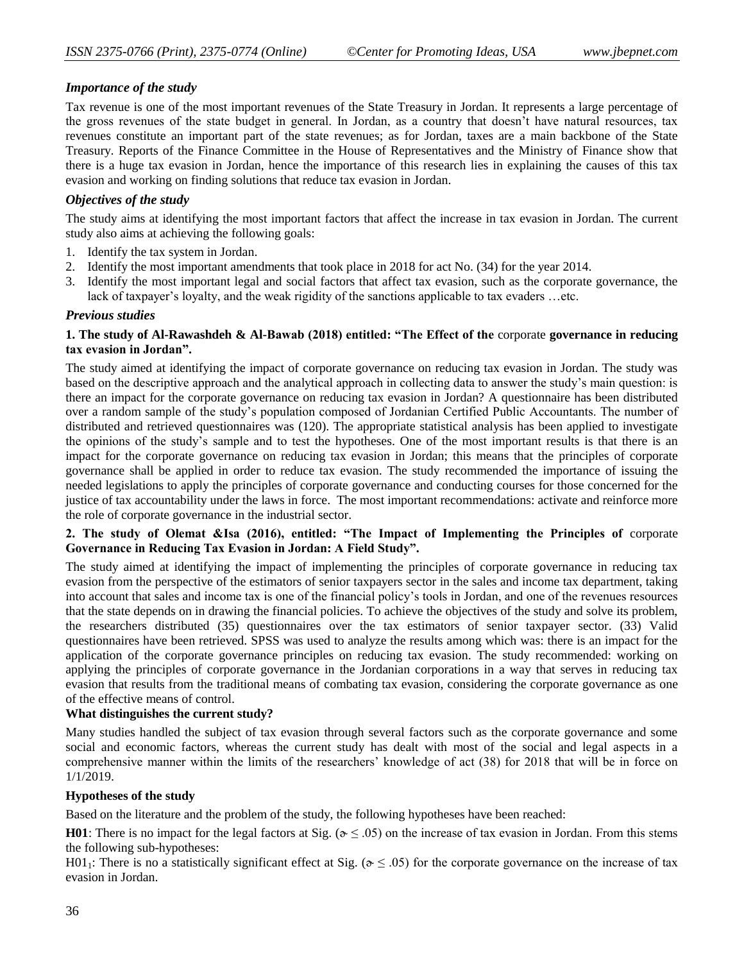# *Importance of the study*

Tax revenue is one of the most important revenues of the State Treasury in Jordan. It represents a large percentage of the gross revenues of the state budget in general. In Jordan, as a country that doesn't have natural resources, tax revenues constitute an important part of the state revenues; as for Jordan, taxes are a main backbone of the State Treasury. Reports of the Finance Committee in the House of Representatives and the Ministry of Finance show that there is a huge tax evasion in Jordan, hence the importance of this research lies in explaining the causes of this tax evasion and working on finding solutions that reduce tax evasion in Jordan.

# *Objectives of the study*

The study aims at identifying the most important factors that affect the increase in tax evasion in Jordan. The current study also aims at achieving the following goals:

- 1. Identify the tax system in Jordan.
- 2. Identify the most important amendments that took place in 2018 for act No. (34) for the year 2014.
- 3. Identify the most important legal and social factors that affect tax evasion, such as the corporate governance, the lack of taxpayer's loyalty, and the weak rigidity of the sanctions applicable to tax evaders …etc.

# *Previous studies*

# **1. The study of Al-Rawashdeh & Al-Bawab (2018) entitled: "The Effect of the** corporate **governance in reducing tax evasion in Jordan".**

The study aimed at identifying the impact of corporate governance on reducing tax evasion in Jordan. The study was based on the descriptive approach and the analytical approach in collecting data to answer the study's main question: is there an impact for the corporate governance on reducing tax evasion in Jordan? A questionnaire has been distributed over a random sample of the study's population composed of Jordanian Certified Public Accountants. The number of distributed and retrieved questionnaires was (120). The appropriate statistical analysis has been applied to investigate the opinions of the study's sample and to test the hypotheses. One of the most important results is that there is an impact for the corporate governance on reducing tax evasion in Jordan; this means that the principles of corporate governance shall be applied in order to reduce tax evasion. The study recommended the importance of issuing the needed legislations to apply the principles of corporate governance and conducting courses for those concerned for the justice of tax accountability under the laws in force. The most important recommendations: activate and reinforce more the role of corporate governance in the industrial sector.

# **2. The study of Olemat &Isa (2016), entitled: "The Impact of Implementing the Principles of** corporate **Governance in Reducing Tax Evasion in Jordan: A Field Study".**

The study aimed at identifying the impact of implementing the principles of corporate governance in reducing tax evasion from the perspective of the estimators of senior taxpayers sector in the sales and income tax department, taking into account that sales and income tax is one of the financial policy's tools in Jordan, and one of the revenues resources that the state depends on in drawing the financial policies. To achieve the objectives of the study and solve its problem, the researchers distributed (35) questionnaires over the tax estimators of senior taxpayer sector. (33) Valid questionnaires have been retrieved. SPSS was used to analyze the results among which was: there is an impact for the application of the corporate governance principles on reducing tax evasion. The study recommended: working on applying the principles of corporate governance in the Jordanian corporations in a way that serves in reducing tax evasion that results from the traditional means of combating tax evasion, considering the corporate governance as one of the effective means of control.

# **What distinguishes the current study?**

Many studies handled the subject of tax evasion through several factors such as the corporate governance and some social and economic factors, whereas the current study has dealt with most of the social and legal aspects in a comprehensive manner within the limits of the researchers' knowledge of act (38) for 2018 that will be in force on 1/1/2019.

# **Hypotheses of the study**

Based on the literature and the problem of the study, the following hypotheses have been reached:

**H01**: There is no impact for the legal factors at Sig. ( $\mathbf{\hat{z}} \leq .05$ ) on the increase of tax evasion in Jordan. From this stems the following sub-hypotheses:

H01<sub>1</sub>: There is no a statistically significant effect at Sig. ( $\approx$   $\leq$  .05) for the corporate governance on the increase of tax evasion in Jordan.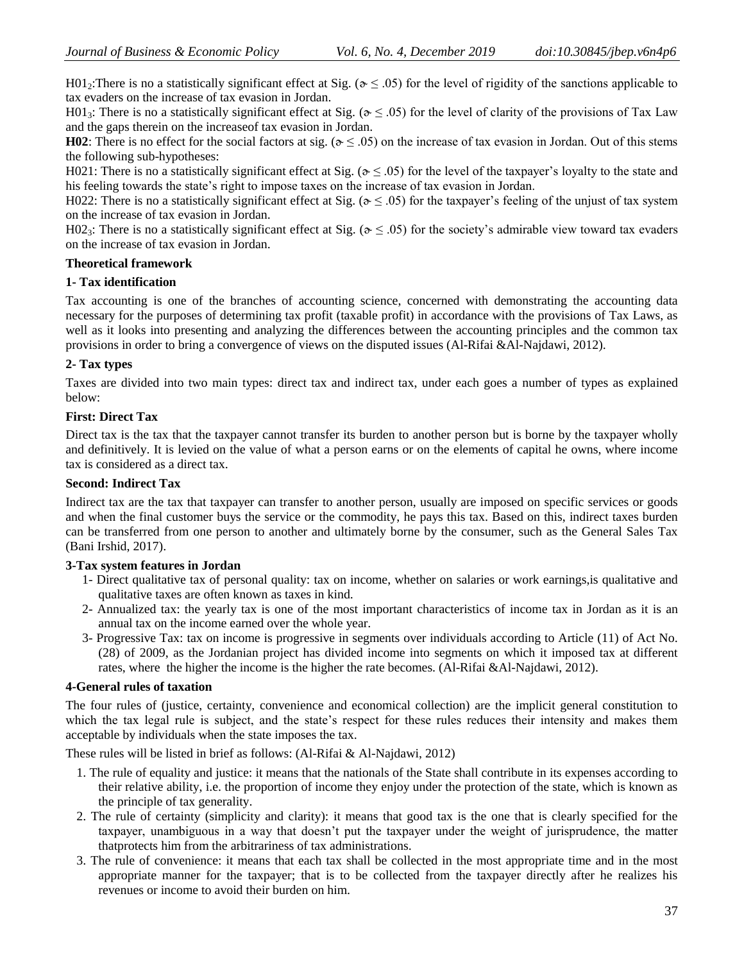H01<sub>2</sub>: There is no a statistically significant effect at Sig. ( $\sigma \leq .05$ ) for the level of rigidity of the sanctions applicable to tax evaders on the increase of tax evasion in Jordan.

H01<sub>3</sub>: There is no a statistically significant effect at Sig. ( $\delta \leq .05$ ) for the level of clarity of the provisions of Tax Law and the gaps therein on the increaseof tax evasion in Jordan.

**H02**: There is no effect for the social factors at sig. ( $\sigma \leq .05$ ) on the increase of tax evasion in Jordan. Out of this stems the following sub-hypotheses:

H021: There is no a statistically significant effect at Sig. ( $\alpha \leq .05$ ) for the level of the taxpayer's loyalty to the state and his feeling towards the state's right to impose taxes on the increase of tax evasion in Jordan.

H022: There is no a statistically significant effect at Sig. ( $\alpha \leq .05$ ) for the taxpayer's feeling of the unjust of tax system on the increase of tax evasion in Jordan.

H02<sub>3</sub>: There is no a statistically significant effect at Sig. ( $\delta \leq .05$ ) for the society's admirable view toward tax evaders on the increase of tax evasion in Jordan.

# **Theoretical framework**

# **1- Tax identification**

Tax accounting is one of the branches of accounting science, concerned with demonstrating the accounting data necessary for the purposes of determining tax profit (taxable profit) in accordance with the provisions of Tax Laws, as well as it looks into presenting and analyzing the differences between the accounting principles and the common tax provisions in order to bring a convergence of views on the disputed issues (Al-Rifai &Al-Najdawi, 2012).

# **2- Tax types**

Taxes are divided into two main types: direct tax and indirect tax, under each goes a number of types as explained below:

# **First: Direct Tax**

Direct tax is the tax that the taxpayer cannot transfer its burden to another person but is borne by the taxpayer wholly and definitively. It is levied on the value of what a person earns or on the elements of capital he owns, where income tax is considered as a direct tax.

#### **Second: Indirect Tax**

Indirect tax are the tax that taxpayer can transfer to another person, usually are imposed on specific services or goods and when the final customer buys the service or the commodity, he pays this tax. Based on this, indirect taxes burden can be transferred from one person to another and ultimately borne by the consumer, such as the General Sales Tax (Bani Irshid, 2017).

#### **3-Tax system features in Jordan**

- 1- Direct qualitative tax of personal quality: tax on income, whether on salaries or work earnings,is qualitative and qualitative taxes are often known as taxes in kind.
- 2- Annualized tax: the yearly tax is one of the most important characteristics of income tax in Jordan as it is an annual tax on the income earned over the whole year.
- 3- Progressive Tax: tax on income is progressive in segments over individuals according to Article (11) of Act No. (28) of 2009, as the Jordanian project has divided income into segments on which it imposed tax at different rates, where the higher the income is the higher the rate becomes. (Al-Rifai &Al-Najdawi, 2012).

# **4-General rules of taxation**

The four rules of (justice, certainty, convenience and economical collection) are the implicit general constitution to which the tax legal rule is subject, and the state's respect for these rules reduces their intensity and makes them acceptable by individuals when the state imposes the tax.

These rules will be listed in brief as follows: (Al-Rifai & Al-Najdawi, 2012)

- 1. The rule of equality and justice: it means that the nationals of the State shall contribute in its expenses according to their relative ability, i.e. the proportion of income they enjoy under the protection of the state, which is known as the principle of tax generality.
- 2. The rule of certainty (simplicity and clarity): it means that good tax is the one that is clearly specified for the taxpayer, unambiguous in a way that doesn't put the taxpayer under the weight of jurisprudence, the matter thatprotects him from the arbitrariness of tax administrations.
- 3. The rule of convenience: it means that each tax shall be collected in the most appropriate time and in the most appropriate manner for the taxpayer; that is to be collected from the taxpayer directly after he realizes his revenues or income to avoid their burden on him.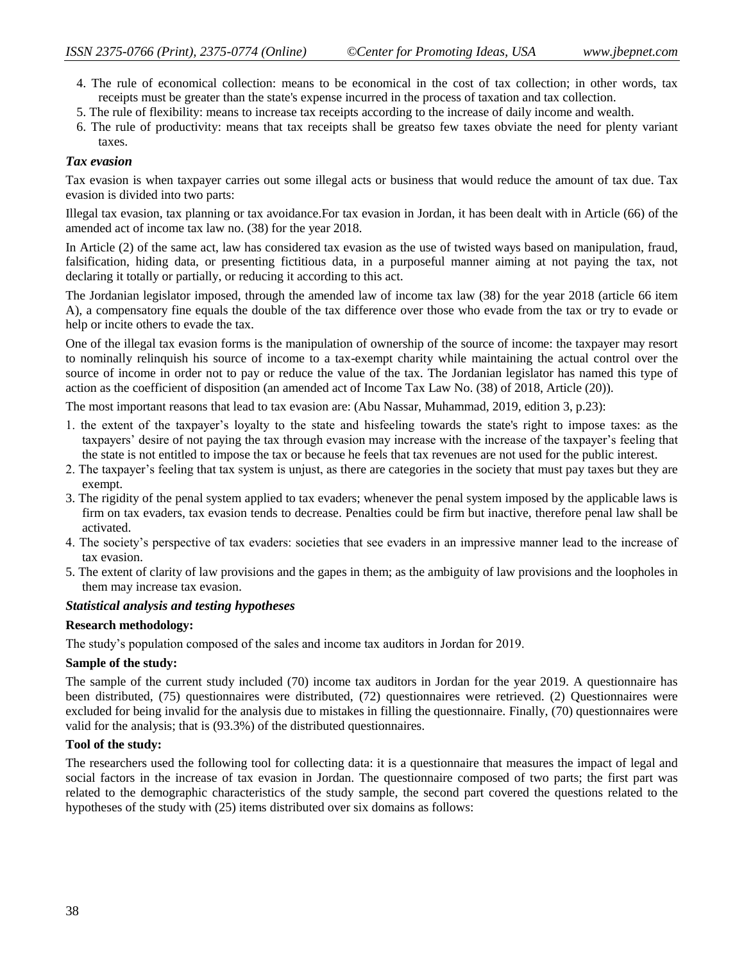- 4. The rule of economical collection: means to be economical in the cost of tax collection; in other words, tax receipts must be greater than the state's expense incurred in the process of taxation and tax collection.
- 5. The rule of flexibility: means to increase tax receipts according to the increase of daily income and wealth.
- 6. The rule of productivity: means that tax receipts shall be greatso few taxes obviate the need for plenty variant taxes.

#### *Tax evasion*

Tax evasion is when taxpayer carries out some illegal acts or business that would reduce the amount of tax due. Tax evasion is divided into two parts:

Illegal tax evasion, tax planning or tax avoidance.For tax evasion in Jordan, it has been dealt with in Article (66) of the amended act of income tax law no. (38) for the year 2018.

In Article (2) of the same act, law has considered tax evasion as the use of twisted ways based on manipulation, fraud, falsification, hiding data, or presenting fictitious data, in a purposeful manner aiming at not paying the tax, not declaring it totally or partially, or reducing it according to this act.

The Jordanian legislator imposed, through the amended law of income tax law (38) for the year 2018 (article 66 item A), a compensatory fine equals the double of the tax difference over those who evade from the tax or try to evade or help or incite others to evade the tax.

One of the illegal tax evasion forms is the manipulation of ownership of the source of income: the taxpayer may resort to nominally relinquish his source of income to a tax-exempt charity while maintaining the actual control over the source of income in order not to pay or reduce the value of the tax. The Jordanian legislator has named this type of action as the coefficient of disposition (an amended act of Income Tax Law No. (38) of 2018, Article (20)).

The most important reasons that lead to tax evasion are: (Abu Nassar, Muhammad, 2019, edition 3, p.23):

- 1. the extent of the taxpayer's loyalty to the state and hisfeeling towards the state's right to impose taxes: as the taxpayers' desire of not paying the tax through evasion may increase with the increase of the taxpayer's feeling that the state is not entitled to impose the tax or because he feels that tax revenues are not used for the public interest.
- 2. The taxpayer's feeling that tax system is unjust, as there are categories in the society that must pay taxes but they are exempt.
- 3. The rigidity of the penal system applied to tax evaders; whenever the penal system imposed by the applicable laws is firm on tax evaders, tax evasion tends to decrease. Penalties could be firm but inactive, therefore penal law shall be activated.
- 4. The society's perspective of tax evaders: societies that see evaders in an impressive manner lead to the increase of tax evasion.
- 5. The extent of clarity of law provisions and the gapes in them; as the ambiguity of law provisions and the loopholes in them may increase tax evasion.

# *Statistical analysis and testing hypotheses*

#### **Research methodology:**

The study's population composed of the sales and income tax auditors in Jordan for 2019.

#### **Sample of the study:**

The sample of the current study included (70) income tax auditors in Jordan for the year 2019. A questionnaire has been distributed, (75) questionnaires were distributed, (72) questionnaires were retrieved. (2) Questionnaires were excluded for being invalid for the analysis due to mistakes in filling the questionnaire. Finally, (70) questionnaires were valid for the analysis; that is (93.3%) of the distributed questionnaires.

#### **Tool of the study:**

The researchers used the following tool for collecting data: it is a questionnaire that measures the impact of legal and social factors in the increase of tax evasion in Jordan. The questionnaire composed of two parts; the first part was related to the demographic characteristics of the study sample, the second part covered the questions related to the hypotheses of the study with (25) items distributed over six domains as follows: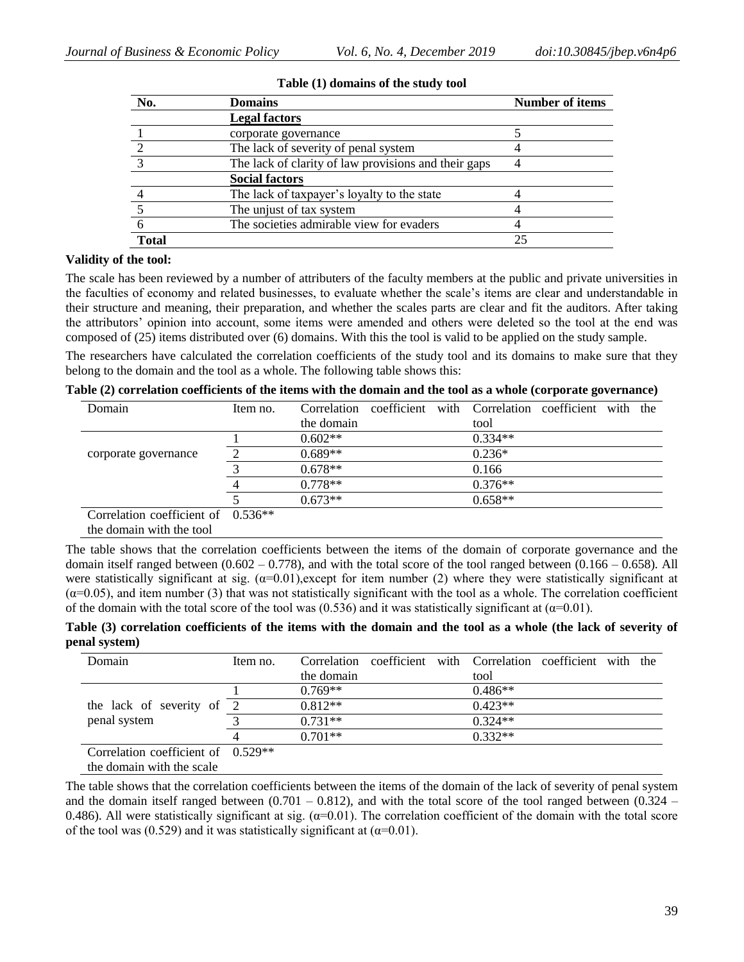| No.   | Domains                                              | <b>Number of items</b> |
|-------|------------------------------------------------------|------------------------|
|       | <b>Legal factors</b>                                 |                        |
|       | corporate governance                                 |                        |
|       | The lack of severity of penal system                 |                        |
|       | The lack of clarity of law provisions and their gaps |                        |
|       | <b>Social factors</b>                                |                        |
|       | The lack of taxpayer's loyalty to the state          |                        |
|       | The unjust of tax system                             |                        |
|       | The societies admirable view for evaders             |                        |
| Total |                                                      | 25                     |

| Table (1) domains of the study tool |
|-------------------------------------|
|-------------------------------------|

# **Validity of the tool:**

The scale has been reviewed by a number of attributers of the faculty members at the public and private universities in the faculties of economy and related businesses, to evaluate whether the scale's items are clear and understandable in their structure and meaning, their preparation, and whether the scales parts are clear and fit the auditors. After taking the attributors' opinion into account, some items were amended and others were deleted so the tool at the end was composed of (25) items distributed over (6) domains. With this the tool is valid to be applied on the study sample.

The researchers have calculated the correlation coefficients of the study tool and its domains to make sure that they belong to the domain and the tool as a whole. The following table shows this:

**Table (2) correlation coefficients of the items with the domain and the tool as a whole (corporate governance)**

| Domain                               | Item no. | Correlation |  | coefficient with Correlation coefficient | with | the |
|--------------------------------------|----------|-------------|--|------------------------------------------|------|-----|
|                                      |          | the domain  |  | tool                                     |      |     |
|                                      |          | $0.602**$   |  | $0.334**$                                |      |     |
| corporate governance                 |          | $0.689**$   |  | $0.236*$                                 |      |     |
|                                      |          | $0.678**$   |  | 0.166                                    |      |     |
|                                      |          | $0.778**$   |  | $0.376**$                                |      |     |
|                                      |          | $0.673**$   |  | $0.658**$                                |      |     |
| Correlation coefficient of $0.536**$ |          |             |  |                                          |      |     |
| the domain with the tool             |          |             |  |                                          |      |     |

The table shows that the correlation coefficients between the items of the domain of corporate governance and the domain itself ranged between  $(0.602 - 0.778)$ , and with the total score of the tool ranged between  $(0.166 - 0.658)$ . All were statistically significant at sig.  $(\alpha=0.01)$ , except for item number (2) where they were statistically significant at  $(\alpha=0.05)$ , and item number (3) that was not statistically significant with the tool as a whole. The correlation coefficient of the domain with the total score of the tool was (0.536) and it was statistically significant at ( $\alpha$ =0.01).

**Table (3) correlation coefficients of the items with the domain and the tool as a whole (the lack of severity of penal system)**

| Domain                               | Item no. | Correlation coefficient with Correlation coefficient with the<br>the domain | tool      |  |  |
|--------------------------------------|----------|-----------------------------------------------------------------------------|-----------|--|--|
|                                      |          | $0.769**$                                                                   | $0.486**$ |  |  |
| the lack of severity of 2            |          | $0.812**$                                                                   | $0.423**$ |  |  |
| penal system                         |          | $0.731**$                                                                   | $0.324**$ |  |  |
|                                      |          | $0.701**$                                                                   | $0.332**$ |  |  |
| Correlation coefficient of $0.529**$ |          |                                                                             |           |  |  |
| the domain with the scale            |          |                                                                             |           |  |  |

The table shows that the correlation coefficients between the items of the domain of the lack of severity of penal system and the domain itself ranged between  $(0.701 - 0.812)$ , and with the total score of the tool ranged between  $(0.324 -$ 0.486). All were statistically significant at sig.  $(\alpha=0.01)$ . The correlation coefficient of the domain with the total score of the tool was (0.529) and it was statistically significant at ( $\alpha$ =0.01).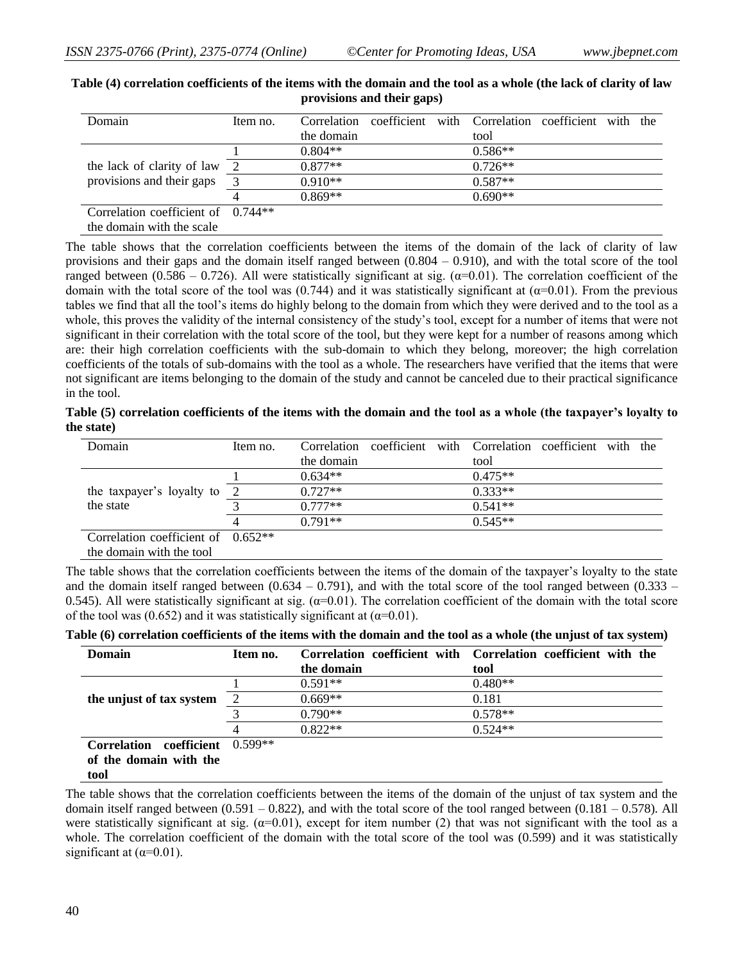| Domain                               | Item no.       | Correlation |  | coefficient with Correlation coefficient with the |  |  |
|--------------------------------------|----------------|-------------|--|---------------------------------------------------|--|--|
|                                      |                | the domain  |  | tool                                              |  |  |
|                                      |                | $0.804**$   |  | $0.586**$                                         |  |  |
| the lack of clarity of law           | $\overline{2}$ | $0.877**$   |  | $0.726**$                                         |  |  |
| provisions and their gaps            | $\mathcal{R}$  | $0.910**$   |  | $0.587**$                                         |  |  |
|                                      |                | $0.869**$   |  | $0.690**$                                         |  |  |
| Correlation coefficient of $0.744**$ |                |             |  |                                                   |  |  |
| the domain with the scale            |                |             |  |                                                   |  |  |

**Table (4) correlation coefficients of the items with the domain and the tool as a whole (the lack of clarity of law provisions and their gaps)**

The table shows that the correlation coefficients between the items of the domain of the lack of clarity of law provisions and their gaps and the domain itself ranged between  $(0.804 - 0.910)$ , and with the total score of the tool ranged between (0.586 – 0.726). All were statistically significant at sig. (α=0.01). The correlation coefficient of the domain with the total score of the tool was (0.744) and it was statistically significant at ( $\alpha$ =0.01). From the previous tables we find that all the tool's items do highly belong to the domain from which they were derived and to the tool as a whole, this proves the validity of the internal consistency of the study's tool, except for a number of items that were not significant in their correlation with the total score of the tool, but they were kept for a number of reasons among which are: their high correlation coefficients with the sub-domain to which they belong, moreover; the high correlation coefficients of the totals of sub-domains with the tool as a whole. The researchers have verified that the items that were not significant are items belonging to the domain of the study and cannot be canceled due to their practical significance in the tool.

|            |  | Table (5) correlation coefficients of the items with the domain and the tool as a whole (the taxpayer's loyalty to |  |  |  |
|------------|--|--------------------------------------------------------------------------------------------------------------------|--|--|--|
| the state) |  |                                                                                                                    |  |  |  |

| Domain                               | Item no. |            |  | Correlation coefficient with Correlation coefficient with the |  |  |
|--------------------------------------|----------|------------|--|---------------------------------------------------------------|--|--|
|                                      |          | the domain |  | tool                                                          |  |  |
|                                      |          | $0.634**$  |  | $0.475**$                                                     |  |  |
| the taxpayer's loyalty to 2          |          | $0.727**$  |  | $0.333**$                                                     |  |  |
| the state                            |          | $0.777**$  |  | $0.541**$                                                     |  |  |
|                                      |          | $0.791**$  |  | $0.545**$                                                     |  |  |
| Correlation coefficient of $0.652**$ |          |            |  |                                                               |  |  |

the domain with the tool

The table shows that the correlation coefficients between the items of the domain of the taxpayer's loyalty to the state and the domain itself ranged between  $(0.634 - 0.791)$ , and with the total score of the tool ranged between  $(0.333 - 0.791)$ 0.545). All were statistically significant at sig.  $(\alpha=0.01)$ . The correlation coefficient of the domain with the total score of the tool was (0.652) and it was statistically significant at ( $\alpha$ =0.01).

|  | Table (6) correlation coefficients of the items with the domain and the tool as a whole (the unjust of tax system) |  |  |  |  |  |  |  |  |
|--|--------------------------------------------------------------------------------------------------------------------|--|--|--|--|--|--|--|--|
|  |                                                                                                                    |  |  |  |  |  |  |  |  |

| Domain                     | Item no.              |            | Correlation coefficient with Correlation coefficient with the |
|----------------------------|-----------------------|------------|---------------------------------------------------------------|
|                            |                       | the domain | tool                                                          |
|                            |                       | $0.591**$  | $0.480**$                                                     |
| the unjust of tax system   | $\mathcal{D}_{\cdot}$ | $0.669**$  | 0.181                                                         |
|                            |                       | $0.790**$  | $0.578**$                                                     |
|                            |                       | $0.822**$  | $0.524**$                                                     |
| coefficient<br>Correlation | $0.599**$             |            |                                                               |
| of the domain with the     |                       |            |                                                               |

**tool**

The table shows that the correlation coefficients between the items of the domain of the unjust of tax system and the domain itself ranged between  $(0.591 - 0.822)$ , and with the total score of the tool ranged between  $(0.181 - 0.578)$ . All were statistically significant at sig.  $(\alpha=0.01)$ , except for item number (2) that was not significant with the tool as a whole. The correlation coefficient of the domain with the total score of the tool was (0.599) and it was statistically significant at  $(\alpha=0.01)$ .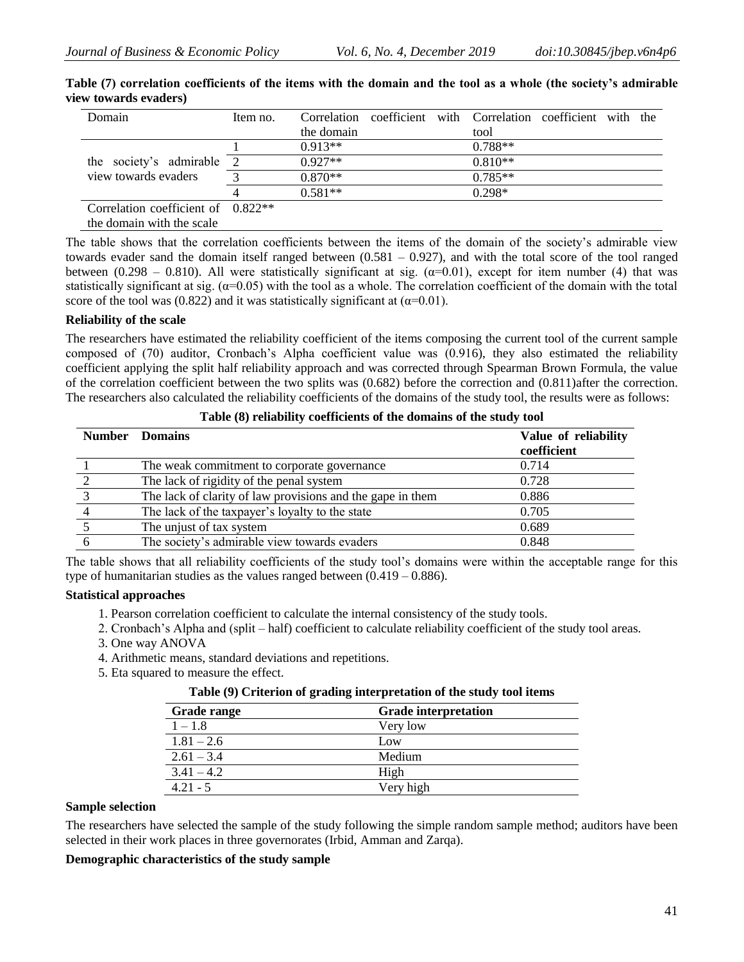| Domain                               | Item no.       |            |  | Correlation coefficient with Correlation coefficient with the |  |  |
|--------------------------------------|----------------|------------|--|---------------------------------------------------------------|--|--|
|                                      |                | the domain |  | tool                                                          |  |  |
|                                      |                | $0.913**$  |  | $0.788**$                                                     |  |  |
| the society's admirable              | $\overline{2}$ | $0.927**$  |  | $0.810**$                                                     |  |  |
| view towards evaders                 |                | $0.870**$  |  | $0.785**$                                                     |  |  |
|                                      |                | $0.581**$  |  | $0.298*$                                                      |  |  |
| Correlation coefficient of $0.822**$ |                |            |  |                                                               |  |  |
| the domain with the scale            |                |            |  |                                                               |  |  |

**Table (7) correlation coefficients of the items with the domain and the tool as a whole (the society's admirable view towards evaders)**

The table shows that the correlation coefficients between the items of the domain of the society's admirable view towards evader sand the domain itself ranged between (0.581 – 0.927), and with the total score of the tool ranged between (0.298 – 0.810). All were statistically significant at sig.  $(\alpha=0.01)$ , except for item number (4) that was statistically significant at sig.  $(\alpha=0.05)$  with the tool as a whole. The correlation coefficient of the domain with the total score of the tool was (0.822) and it was statistically significant at ( $\alpha$ =0.01).

# **Reliability of the scale**

The researchers have estimated the reliability coefficient of the items composing the current tool of the current sample composed of (70) auditor, Cronbach's Alpha coefficient value was (0.916), they also estimated the reliability coefficient applying the split half reliability approach and was corrected through Spearman Brown Formula, the value of the correlation coefficient between the two splits was (0.682) before the correction and (0.811)after the correction. The researchers also calculated the reliability coefficients of the domains of the study tool, the results were as follows:

| <b>Number</b> Domains                                      | Value of reliability<br>coefficient |
|------------------------------------------------------------|-------------------------------------|
| The weak commitment to corporate governance                | 0.714                               |
| The lack of rigidity of the penal system                   | 0.728                               |
| The lack of clarity of law provisions and the gape in them | 0.886                               |
| The lack of the taxpayer's loyalty to the state            | 0.705                               |
| The unjust of tax system                                   | 0.689                               |
| The society's admirable view towards evaders               | 0.848                               |

**Table (8) reliability coefficients of the domains of the study tool**

The table shows that all reliability coefficients of the study tool's domains were within the acceptable range for this type of humanitarian studies as the values ranged between  $(0.419 - 0.886)$ .

# **Statistical approaches**

- 1. Pearson correlation coefficient to calculate the internal consistency of the study tools.
- 2. Cronbach's Alpha and (split half) coefficient to calculate reliability coefficient of the study tool areas.
- 3. One way ANOVA
- 4. Arithmetic means, standard deviations and repetitions.
- 5. Eta squared to measure the effect.

#### **Table (9) Criterion of grading interpretation of the study tool items**

| <b>Grade range</b> | <b>Grade interpretation</b> |
|--------------------|-----------------------------|
| $1 - 1.8$          | Very low                    |
| $1.81 - 2.6$       | Low                         |
| $2.61 - 3.4$       | Medium                      |
| $3.41 - 4.2$       | High                        |
| $421 - 5$          | Very high                   |

#### **Sample selection**

The researchers have selected the sample of the study following the simple random sample method; auditors have been selected in their work places in three governorates (Irbid, Amman and Zarqa).

# **Demographic characteristics of the study sample**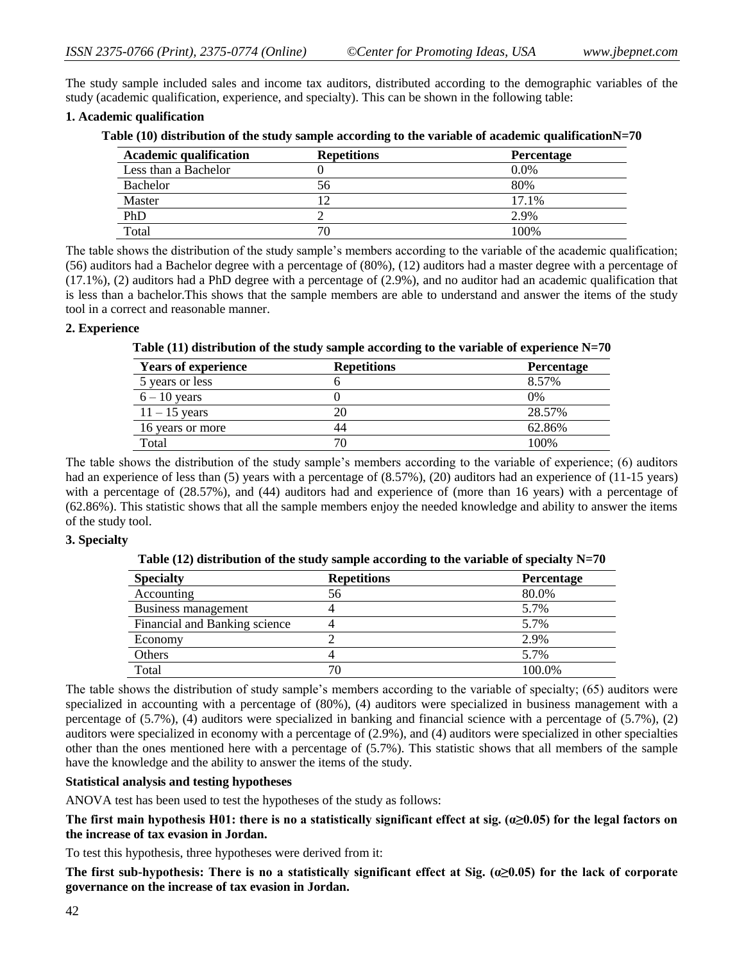The study sample included sales and income tax auditors, distributed according to the demographic variables of the study (academic qualification, experience, and specialty). This can be shown in the following table:

# **1. Academic qualification**

| <b>Academic qualification</b> | <b>Repetitions</b> | <b>Percentage</b> |
|-------------------------------|--------------------|-------------------|
| Less than a Bachelor          |                    | $0.0\%$           |
| Bachelor                      | 56                 | 80%               |
| Master                        | ۱۹                 | 17.1%             |
| PhD                           |                    | 2.9%              |
| Total                         | 70                 | 100\%             |

The table shows the distribution of the study sample's members according to the variable of the academic qualification; (56) auditors had a Bachelor degree with a percentage of (80%), (12) auditors had a master degree with a percentage of (17.1%), (2) auditors had a PhD degree with a percentage of (2.9%), and no auditor had an academic qualification that is less than a bachelor.This shows that the sample members are able to understand and answer the items of the study tool in a correct and reasonable manner.

# **2. Experience**

**Table (11) distribution of the study sample according to the variable of experience N=70**

| <b>Years of experience</b> | <b>Repetitions</b> | Percentage |
|----------------------------|--------------------|------------|
| 5 years or less            |                    | 8.57%      |
| $6 - 10$ years             |                    | $0\%$      |
| $11 - 15$ years            |                    | 28.57%     |
| 16 years or more           | 44                 | 62.86%     |
| Total                      |                    | 100\%      |

The table shows the distribution of the study sample's members according to the variable of experience; (6) auditors had an experience of less than (5) years with a percentage of (8.57%), (20) auditors had an experience of (11-15 years) with a percentage of (28.57%), and (44) auditors had and experience of (more than 16 years) with a percentage of (62.86%). This statistic shows that all the sample members enjoy the needed knowledge and ability to answer the items of the study tool.

#### **3. Specialty**

**Table (12) distribution of the study sample according to the variable of specialty N=70**

| <b>Specialty</b>              | <b>Repetitions</b> | <b>Percentage</b> |
|-------------------------------|--------------------|-------------------|
| Accounting                    | 56                 | 80.0%             |
| Business management           |                    | 5.7%              |
| Financial and Banking science |                    | 5.7%              |
| Economy                       |                    | 2.9%              |
| Others                        |                    | 5.7%              |
| Total                         | 70                 | 100.0%            |

The table shows the distribution of study sample's members according to the variable of specialty; (65) auditors were specialized in accounting with a percentage of (80%), (4) auditors were specialized in business management with a percentage of (5.7%), (4) auditors were specialized in banking and financial science with a percentage of (5.7%), (2) auditors were specialized in economy with a percentage of (2.9%), and (4) auditors were specialized in other specialties other than the ones mentioned here with a percentage of (5.7%). This statistic shows that all members of the sample have the knowledge and the ability to answer the items of the study.

# **Statistical analysis and testing hypotheses**

ANOVA test has been used to test the hypotheses of the study as follows:

**The first main hypothesis H01: there is no a statistically significant effect at sig. (α≥0.05) for the legal factors on the increase of tax evasion in Jordan.** 

To test this hypothesis, three hypotheses were derived from it:

**The first sub-hypothesis: There is no a statistically significant effect at Sig. (α≥0.05) for the lack of corporate governance on the increase of tax evasion in Jordan.**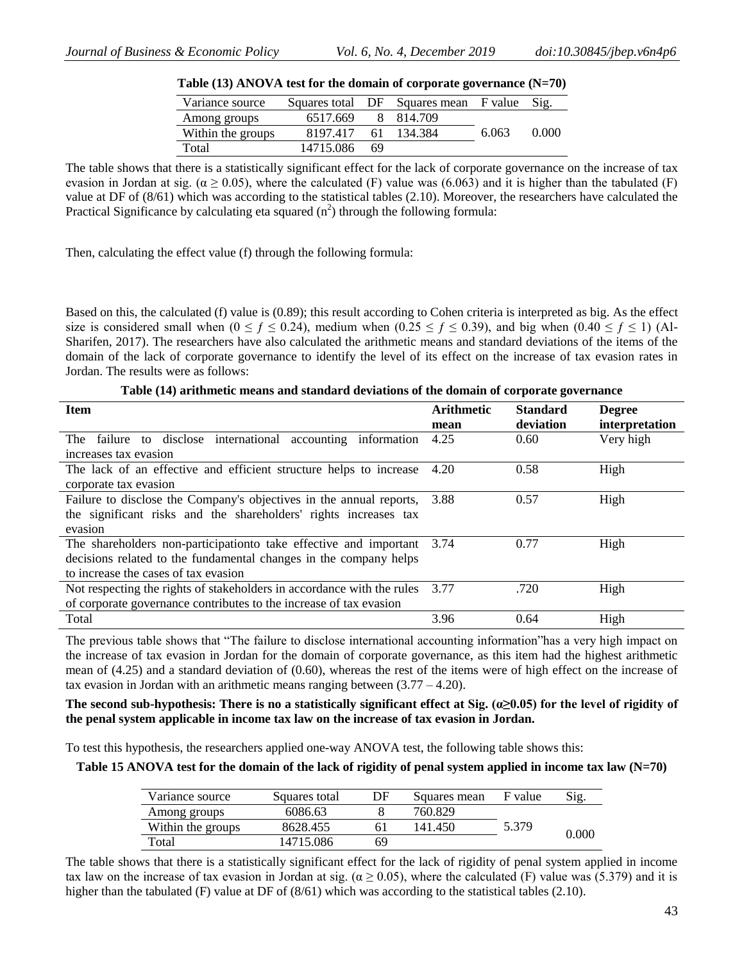| <b>Table (13) ANOVA lest for the domain of corporate governance (<math>N=70</math>)</b> |           |    |                                       |       |       |  |
|-----------------------------------------------------------------------------------------|-----------|----|---------------------------------------|-------|-------|--|
| Variance source                                                                         |           |    | Squares total DF Squares mean F value |       | Sig.  |  |
| Among groups                                                                            | 6517.669  |    | 8 814.709                             |       |       |  |
| Within the groups                                                                       | 8197.417  |    | 61 134.384                            | 6.063 | 0.000 |  |
| Total                                                                                   | 14715.086 | 69 |                                       |       |       |  |

| Table $(13)$ ANOVA test for the domain of corporate governance $(N=70)$ |  |  |  |  |  |
|-------------------------------------------------------------------------|--|--|--|--|--|
|-------------------------------------------------------------------------|--|--|--|--|--|

The table shows that there is a statistically significant effect for the lack of corporate governance on the increase of tax evasion in Jordan at sig. ( $\alpha$  > 0.05), where the calculated (F) value was (6.063) and it is higher than the tabulated (F) value at DF of (8/61) which was according to the statistical tables (2.10). Moreover, the researchers have calculated the Practical Significance by calculating eta squared  $(n^2)$  through the following formula:

Then, calculating the effect value (f) through the following formula:

Based on this, the calculated (f) value is (0.89); this result according to Cohen criteria is interpreted as big. As the effect size is considered small when ( $0 \le f \le 0.24$ ), medium when ( $0.25 \le f \le 0.39$ ), and big when ( $0.40 \le f \le 1$ ) (Al-Sharifen, 2017). The researchers have also calculated the arithmetic means and standard deviations of the items of the domain of the lack of corporate governance to identify the level of its effect on the increase of tax evasion rates in Jordan. The results were as follows:

|  |  | Table (14) arithmetic means and standard deviations of the domain of corporate governance |
|--|--|-------------------------------------------------------------------------------------------|
|--|--|-------------------------------------------------------------------------------------------|

| <b>Item</b>                                                            | <b>Arithmetic</b> | <b>Standard</b> | <b>Degree</b>  |
|------------------------------------------------------------------------|-------------------|-----------------|----------------|
|                                                                        | mean              | deviation       | interpretation |
| to disclose international accounting information<br>failure<br>The     | 4.25              | 0.60            | Very high      |
| increases tax evasion                                                  |                   |                 |                |
| The lack of an effective and efficient structure helps to increase     | 4.20              | 0.58            | High           |
| corporate tax evasion                                                  |                   |                 |                |
| Failure to disclose the Company's objectives in the annual reports,    | 3.88              | 0.57            | High           |
| the significant risks and the shareholders' rights increases tax       |                   |                 |                |
| evasion                                                                |                   |                 |                |
| The shareholders non-participation take effective and important        | 3.74              | 0.77            | High           |
| decisions related to the fundamental changes in the company helps      |                   |                 |                |
| to increase the cases of tax evasion                                   |                   |                 |                |
| Not respecting the rights of stakeholders in accordance with the rules | 3.77              | .720            | High           |
| of corporate governance contributes to the increase of tax evasion     |                   |                 |                |
| Total                                                                  | 3.96              | 0.64            | High           |

The previous table shows that "The failure to disclose international accounting information"has a very high impact on the increase of tax evasion in Jordan for the domain of corporate governance, as this item had the highest arithmetic mean of (4.25) and a standard deviation of (0.60), whereas the rest of the items were of high effect on the increase of tax evasion in Jordan with an arithmetic means ranging between  $(3.77 - 4.20)$ .

# **The second sub-hypothesis: There is no a statistically significant effect at Sig. (α≥0.05) for the level of rigidity of the penal system applicable in income tax law on the increase of tax evasion in Jordan.**

To test this hypothesis, the researchers applied one-way ANOVA test, the following table shows this:

**Table 15 ANOVA test for the domain of the lack of rigidity of penal system applied in income tax law (N=70)**

| Variance source   | Squares total | DF | Squares mean | F value | Sig.  |
|-------------------|---------------|----|--------------|---------|-------|
| Among groups      | 6086.63       |    | 760.829      |         |       |
| Within the groups | 8628.455      |    | 141.450      | 5.379   | 0.000 |
| Total             | 14715.086     | 69 |              |         |       |

The table shows that there is a statistically significant effect for the lack of rigidity of penal system applied in income tax law on the increase of tax evasion in Jordan at sig. ( $\alpha \ge 0.05$ ), where the calculated (F) value was (5.379) and it is higher than the tabulated (F) value at DF of  $(8/61)$  which was according to the statistical tables (2.10).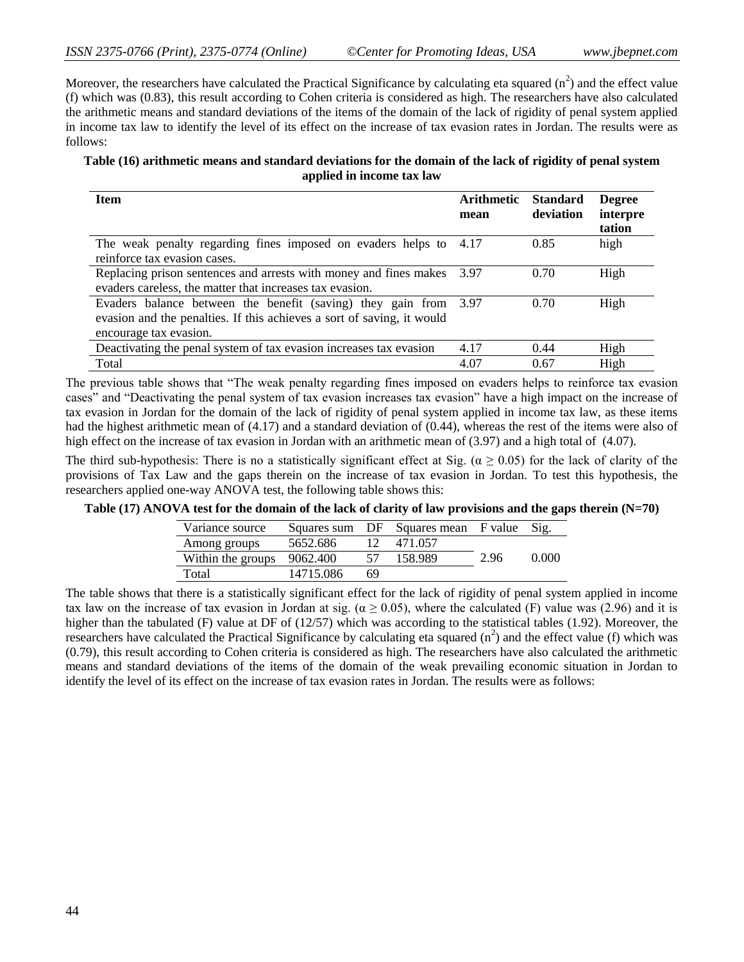Moreover, the researchers have calculated the Practical Significance by calculating eta squared  $(n^2)$  and the effect value (f) which was (0.83), this result according to Cohen criteria is considered as high. The researchers have also calculated the arithmetic means and standard deviations of the items of the domain of the lack of rigidity of penal system applied in income tax law to identify the level of its effect on the increase of tax evasion rates in Jordan. The results were as follows:

| Table (16) arithmetic means and standard deviations for the domain of the lack of rigidity of penal system |
|------------------------------------------------------------------------------------------------------------|
| applied in income tax law                                                                                  |

| <b>Item</b>                                                                                                                                                          | <b>Arithmetic</b><br>mean | <b>Standard</b><br>deviation | <b>Degree</b><br>interpre<br>tation |
|----------------------------------------------------------------------------------------------------------------------------------------------------------------------|---------------------------|------------------------------|-------------------------------------|
| The weak penalty regarding fines imposed on evaders helps to 4.17<br>reinforce tax evasion cases.                                                                    |                           | 0.85                         | high                                |
| Replacing prison sentences and arrests with money and fines makes<br>evaders careless, the matter that increases tax evasion.                                        | 3.97                      | 0.70                         | High                                |
| Evaders balance between the benefit (saving) they gain from 3.97<br>evasion and the penalties. If this achieves a sort of saving, it would<br>encourage tax evasion. |                           | 0.70                         | High                                |
| Deactivating the penal system of tax evasion increases tax evasion                                                                                                   | 4.17                      | 0.44                         | High                                |
| Total                                                                                                                                                                | 4.07                      | 0.67                         | High                                |

The previous table shows that "The weak penalty regarding fines imposed on evaders helps to reinforce tax evasion cases" and "Deactivating the penal system of tax evasion increases tax evasion" have a high impact on the increase of tax evasion in Jordan for the domain of the lack of rigidity of penal system applied in income tax law, as these items had the highest arithmetic mean of (4.17) and a standard deviation of (0.44), whereas the rest of the items were also of high effect on the increase of tax evasion in Jordan with an arithmetic mean of (3.97) and a high total of (4.07).

The third sub-hypothesis: There is no a statistically significant effect at Sig. ( $\alpha \ge 0.05$ ) for the lack of clarity of the provisions of Tax Law and the gaps therein on the increase of tax evasion in Jordan. To test this hypothesis, the researchers applied one-way ANOVA test, the following table shows this:

**Table (17) ANOVA test for the domain of the lack of clarity of law provisions and the gaps therein (N=70)**

| Variance source            |           |     | Squares sum DF Squares mean F value Sig. |      |       |
|----------------------------|-----------|-----|------------------------------------------|------|-------|
| Among groups               | 5652.686  |     | 12 471.057                               |      |       |
| Within the groups 9062.400 |           |     | 158.989                                  | 2.96 | 0.000 |
| Total                      | 14715.086 | -69 |                                          |      |       |

The table shows that there is a statistically significant effect for the lack of rigidity of penal system applied in income tax law on the increase of tax evasion in Jordan at sig. ( $\alpha \ge 0.05$ ), where the calculated (F) value was (2.96) and it is higher than the tabulated (F) value at DF of (12/57) which was according to the statistical tables (1.92). Moreover, the researchers have calculated the Practical Significance by calculating eta squared  $(n^2)$  and the effect value (f) which was (0.79), this result according to Cohen criteria is considered as high. The researchers have also calculated the arithmetic means and standard deviations of the items of the domain of the weak prevailing economic situation in Jordan to identify the level of its effect on the increase of tax evasion rates in Jordan. The results were as follows: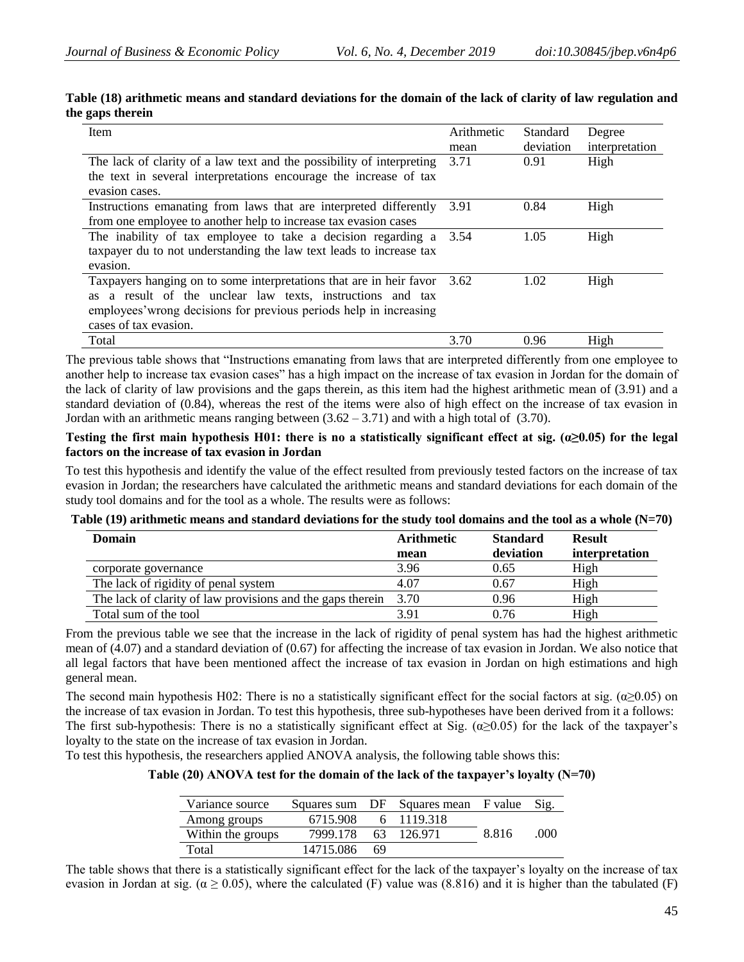| Item                                                                                                                                                                                                                                      | Arithmetic<br>mean | <b>Standard</b><br>deviation | Degree<br>interpretation |
|-------------------------------------------------------------------------------------------------------------------------------------------------------------------------------------------------------------------------------------------|--------------------|------------------------------|--------------------------|
| The lack of clarity of a law text and the possibility of interpreting<br>the text in several interpretations encourage the increase of tax<br>evasion cases.                                                                              | 3.71               | 0.91                         | High                     |
| Instructions emanating from laws that are interpreted differently<br>from one employee to another help to increase tax evasion cases                                                                                                      | 3.91               | 0.84                         | High                     |
| The inability of tax employee to take a decision regarding a<br>taxpayer du to not understanding the law text leads to increase tax<br>evasion.                                                                                           | 3.54               | 1.05                         | High                     |
| Taxpayers hanging on to some interpretations that are in heir favor 3.62<br>a result of the unclear law texts, instructions and tax<br>as.<br>employees' wrong decisions for previous periods help in increasing<br>cases of tax evasion. |                    | 1.02                         | High                     |
| Total                                                                                                                                                                                                                                     | 3.70               | 0.96                         | High                     |

#### **Table (18) arithmetic means and standard deviations for the domain of the lack of clarity of law regulation and the gaps therein**

The previous table shows that "Instructions emanating from laws that are interpreted differently from one employee to another help to increase tax evasion cases" has a high impact on the increase of tax evasion in Jordan for the domain of the lack of clarity of law provisions and the gaps therein, as this item had the highest arithmetic mean of (3.91) and a standard deviation of (0.84), whereas the rest of the items were also of high effect on the increase of tax evasion in Jordan with an arithmetic means ranging between  $(3.62 - 3.71)$  and with a high total of  $(3.70)$ .

#### **Testing the first main hypothesis H01: there is no a statistically significant effect at sig. (α≥0.05) for the legal factors on the increase of tax evasion in Jordan**

To test this hypothesis and identify the value of the effect resulted from previously tested factors on the increase of tax evasion in Jordan; the researchers have calculated the arithmetic means and standard deviations for each domain of the study tool domains and for the tool as a whole. The results were as follows:

#### **Table (19) arithmetic means and standard deviations for the study tool domains and the tool as a whole (N=70)**

| <b>Domain</b>                                                     | <b>Arithmetic</b> | <b>Standard</b> | <b>Result</b>  |
|-------------------------------------------------------------------|-------------------|-----------------|----------------|
|                                                                   | mean              | deviation       | interpretation |
| corporate governance                                              | 3.96              | 0.65            | High           |
| The lack of rigidity of penal system                              | 4.07              | 0.67            | High           |
| The lack of clarity of law provisions and the gaps therein $3.70$ |                   | 0.96            | High           |
| Total sum of the tool                                             | 3.91              | 0.76            | High           |

From the previous table we see that the increase in the lack of rigidity of penal system has had the highest arithmetic mean of (4.07) and a standard deviation of (0.67) for affecting the increase of tax evasion in Jordan. We also notice that all legal factors that have been mentioned affect the increase of tax evasion in Jordan on high estimations and high general mean.

The second main hypothesis H02: There is no a statistically significant effect for the social factors at sig. ( $\alpha \ge 0.05$ ) on the increase of tax evasion in Jordan. To test this hypothesis, three sub-hypotheses have been derived from it a follows: The first sub-hypothesis: There is no a statistically significant effect at Sig. ( $\alpha$  >0.05) for the lack of the taxpayer's loyalty to the state on the increase of tax evasion in Jordan.

To test this hypothesis, the researchers applied ANOVA analysis, the following table shows this:

**Table (20) ANOVA test for the domain of the lack of the taxpayer's loyalty (N=70)**

| Variance source   |           |     | Squares sum DF Squares mean F value |       | Sig.  |
|-------------------|-----------|-----|-------------------------------------|-------|-------|
| Among groups      | 6715.908  |     | 6 1119.318                          |       |       |
| Within the groups | 7999.178  |     | 63 126.971                          | 8.816 | (100) |
| Total             | 14715.086 | -69 |                                     |       |       |

The table shows that there is a statistically significant effect for the lack of the taxpayer's loyalty on the increase of tax evasion in Jordan at sig. ( $\alpha \ge 0.05$ ), where the calculated (F) value was (8.816) and it is higher than the tabulated (F)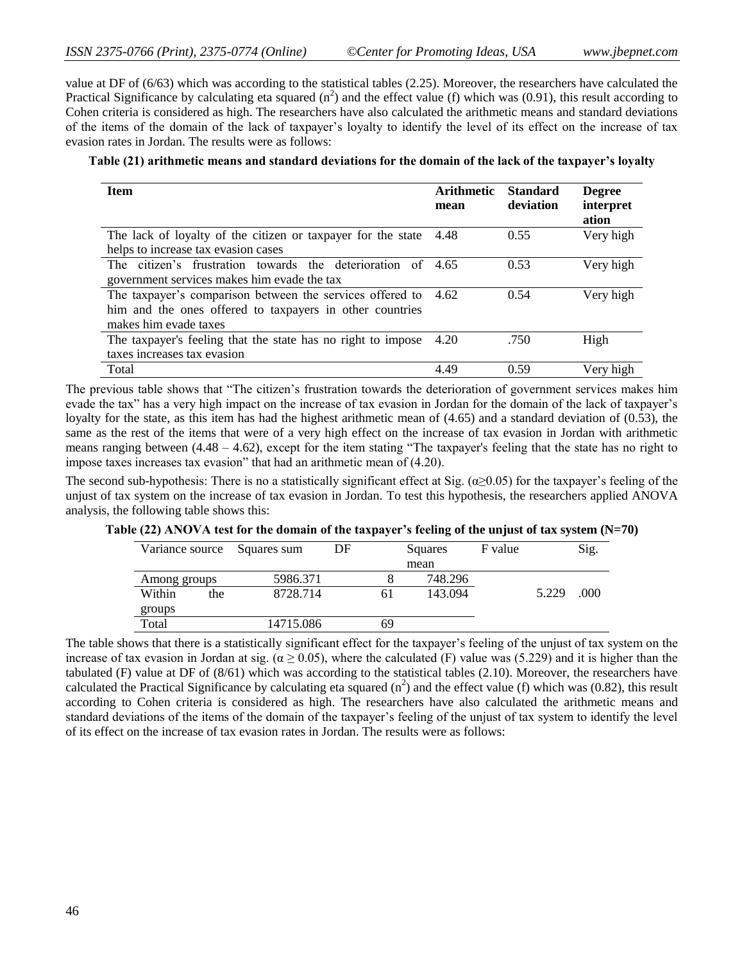value at DF of (6/63) which was according to the statistical tables (2.25). Moreover, the researchers have calculated the Practical Significance by calculating eta squared  $(n^2)$  and the effect value (f) which was (0.91), this result according to Cohen criteria is considered as high. The researchers have also calculated the arithmetic means and standard deviations of the items of the domain of the lack of taxpayer's loyalty to identify the level of its effect on the increase of tax evasion rates in Jordan. The results were as follows:

#### **Table (21) arithmetic means and standard deviations for the domain of the lack of the taxpayer's loyalty**

| <b>Item</b>                                                    | Arithmetic<br>mean | <b>Standard</b><br>deviation | <b>Degree</b><br>interpret<br>ation |
|----------------------------------------------------------------|--------------------|------------------------------|-------------------------------------|
| The lack of loyalty of the citizen or taxpayer for the state   | 4.48               | 0.55                         | Very high                           |
| helps to increase tax evasion cases                            |                    |                              |                                     |
| The citizen's frustration towards the deterioration of 4.65    |                    | 0.53                         | Very high                           |
| government services makes him evade the tax                    |                    |                              |                                     |
| The taxpayer's comparison between the services offered to 4.62 |                    | 0.54                         | Very high                           |
| him and the ones offered to taxpayers in other countries       |                    |                              |                                     |
| makes him evade taxes                                          |                    |                              |                                     |
| The taxpayer's feeling that the state has no right to impose   | 4.20               | .750                         | High                                |
| taxes increases tax evasion                                    |                    |                              |                                     |
| Total                                                          | 4.49               | 0.59                         | Very high                           |

The previous table shows that "The citizen's frustration towards the deterioration of government services makes him evade the tax" has a very high impact on the increase of tax evasion in Jordan for the domain of the lack of taxpayer's loyalty for the state, as this item has had the highest arithmetic mean of (4.65) and a standard deviation of (0.53), the same as the rest of the items that were of a very high effect on the increase of tax evasion in Jordan with arithmetic means ranging between (4.48 – 4.62), except for the item stating "The taxpayer's feeling that the state has no right to impose taxes increases tax evasion" that had an arithmetic mean of (4.20).

The second sub-hypothesis: There is no a statistically significant effect at Sig. ( $\alpha \ge 0.05$ ) for the taxpayer's feeling of the unjust of tax system on the increase of tax evasion in Jordan. To test this hypothesis, the researchers applied ANOVA analysis, the following table shows this:

**Table (22) ANOVA test for the domain of the taxpayer's feeling of the unjust of tax system (N=70)**

| Variance source Squares sum |           | DF |    | Squares |  |       | Sig. |
|-----------------------------|-----------|----|----|---------|--|-------|------|
|                             |           |    |    | mean    |  |       |      |
| Among groups                | 5986.371  |    |    | 748.296 |  |       |      |
| Within<br>the               | 8728.714  |    | 61 | 143.094 |  | 5.229 | .000 |
| groups                      |           |    |    |         |  |       |      |
| Total                       | 14715.086 |    | 69 |         |  |       |      |

The table shows that there is a statistically significant effect for the taxpayer's feeling of the unjust of tax system on the increase of tax evasion in Jordan at sig. ( $\alpha \ge 0.05$ ), where the calculated (F) value was (5.229) and it is higher than the tabulated (F) value at DF of (8/61) which was according to the statistical tables (2.10). Moreover, the researchers have calculated the Practical Significance by calculating eta squared  $(n^2)$  and the effect value (f) which was (0.82), this result according to Cohen criteria is considered as high. The researchers have also calculated the arithmetic means and standard deviations of the items of the domain of the taxpayer's feeling of the unjust of tax system to identify the level of its effect on the increase of tax evasion rates in Jordan. The results were as follows: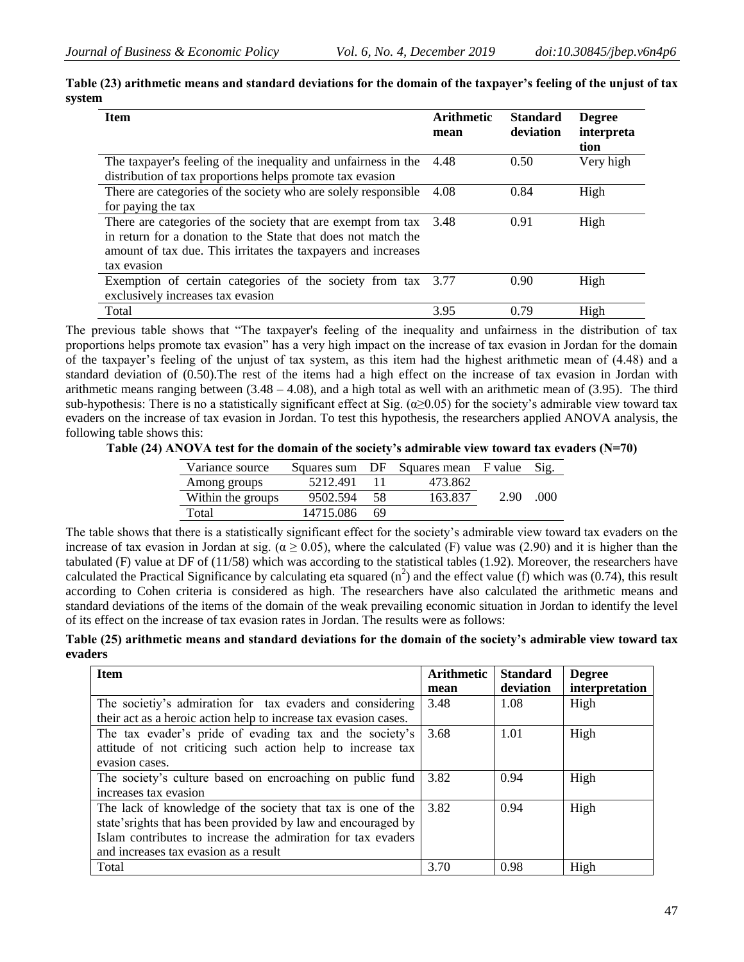| <b>Item</b>                                                    | <b>Arithmetic</b><br>mean | <b>Standard</b><br>deviation | <b>Degree</b><br>interpreta<br>tion |
|----------------------------------------------------------------|---------------------------|------------------------------|-------------------------------------|
| The taxpayer's feeling of the inequality and unfairness in the | 4.48                      | 0.50                         | Very high                           |
| distribution of tax proportions helps promote tax evasion      |                           |                              |                                     |
| There are categories of the society who are solely responsible | 4.08                      | 0.84                         | High                                |
| for paying the tax                                             |                           |                              |                                     |
| There are categories of the society that are exempt from tax   | 3.48                      | 0.91                         | High                                |
| in return for a donation to the State that does not match the  |                           |                              |                                     |
| amount of tax due. This irritates the taxpayers and increases  |                           |                              |                                     |
| tax evasion                                                    |                           |                              |                                     |
| Exemption of certain categories of the society from tax 3.77   |                           | 0.90                         | High                                |
| exclusively increases tax evasion                              |                           |                              |                                     |
| Total                                                          | 3.95                      | 0.79                         | High                                |

**Table (23) arithmetic means and standard deviations for the domain of the taxpayer's feeling of the unjust of tax system**

The previous table shows that "The taxpayer's feeling of the inequality and unfairness in the distribution of tax proportions helps promote tax evasion" has a very high impact on the increase of tax evasion in Jordan for the domain of the taxpayer's feeling of the unjust of tax system, as this item had the highest arithmetic mean of (4.48) and a standard deviation of (0.50).The rest of the items had a high effect on the increase of tax evasion in Jordan with arithmetic means ranging between  $(3.48 - 4.08)$ , and a high total as well with an arithmetic mean of  $(3.95)$ . The third sub-hypothesis: There is no a statistically significant effect at Sig.  $(\alpha \ge 0.05)$  for the society's admirable view toward tax evaders on the increase of tax evasion in Jordan. To test this hypothesis, the researchers applied ANOVA analysis, the following table shows this:

**Table (24) ANOVA test for the domain of the society's admirable view toward tax evaders (N=70)**

| Variance source   | Squares sum | DF | Squares mean F value |      | Sig. |
|-------------------|-------------|----|----------------------|------|------|
| Among groups      | 5212.491    |    | 473.862              |      |      |
| Within the groups | 9502.594    | 58 | 163.837              | 2.90 | 000  |
| Total             | 14715.086   | 69 |                      |      |      |

The table shows that there is a statistically significant effect for the society's admirable view toward tax evaders on the increase of tax evasion in Jordan at sig. ( $\alpha \ge 0.05$ ), where the calculated (F) value was (2.90) and it is higher than the tabulated (F) value at DF of (11/58) which was according to the statistical tables (1.92). Moreover, the researchers have calculated the Practical Significance by calculating eta squared  $(n^2)$  and the effect value (f) which was (0.74), this result according to Cohen criteria is considered as high. The researchers have also calculated the arithmetic means and standard deviations of the items of the domain of the weak prevailing economic situation in Jordan to identify the level of its effect on the increase of tax evasion rates in Jordan. The results were as follows:

**Table (25) arithmetic means and standard deviations for the domain of the society's admirable view toward tax evaders**

| <b>Item</b>                                                      | <b>Arithmetic</b> | <b>Standard</b> | <b>Degree</b>  |
|------------------------------------------------------------------|-------------------|-----------------|----------------|
|                                                                  | mean              | deviation       | interpretation |
| The societiy's admiration for tax evaders and considering        | 3.48              | 1.08            | High           |
| their act as a heroic action help to increase tax evasion cases. |                   |                 |                |
| The tax evader's pride of evading tax and the society's          | 3.68              | 1.01            | High           |
| attitude of not criticing such action help to increase tax       |                   |                 |                |
| evasion cases.                                                   |                   |                 |                |
| The society's culture based on encroaching on public fund        | 3.82              | 0.94            | High           |
| increases tax evasion                                            |                   |                 |                |
| The lack of knowledge of the society that tax is one of the      | 3.82              | 0.94            | High           |
| state's rights that has been provided by law and encouraged by   |                   |                 |                |
| Islam contributes to increase the admiration for tax evaders     |                   |                 |                |
| and increases tax evasion as a result                            |                   |                 |                |
| Total                                                            | 3.70              | 0.98            | High           |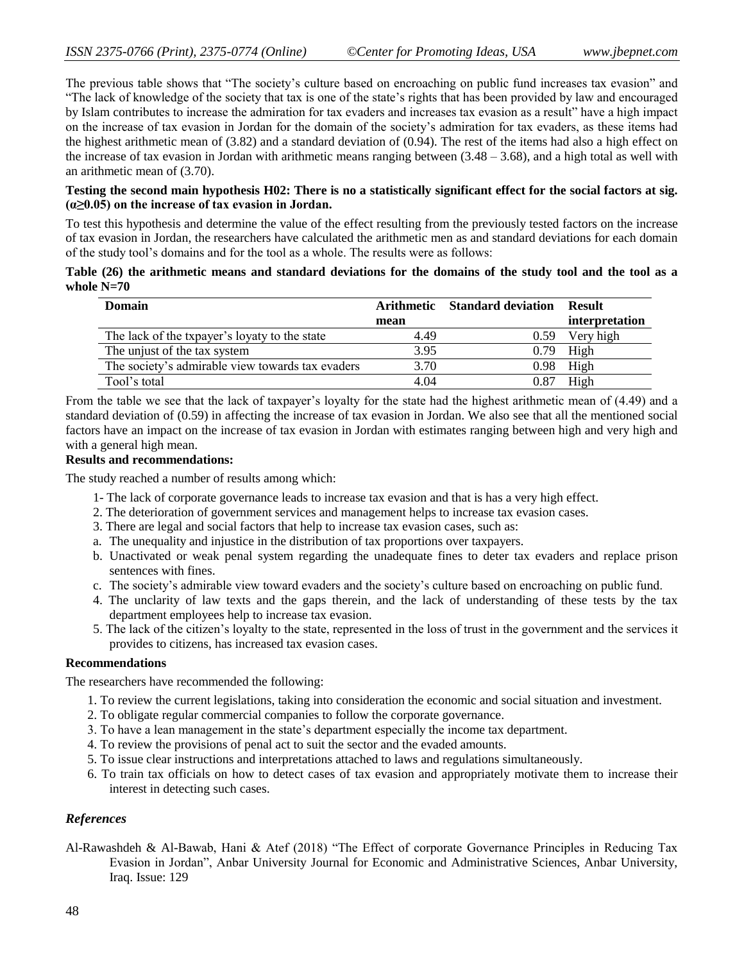The previous table shows that "The society's culture based on encroaching on public fund increases tax evasion" and "The lack of knowledge of the society that tax is one of the state's rights that has been provided by law and encouraged by Islam contributes to increase the admiration for tax evaders and increases tax evasion as a result" have a high impact on the increase of tax evasion in Jordan for the domain of the society's admiration for tax evaders, as these items had the highest arithmetic mean of (3.82) and a standard deviation of (0.94). The rest of the items had also a high effect on the increase of tax evasion in Jordan with arithmetic means ranging between  $(3.48 - 3.68)$ , and a high total as well with an arithmetic mean of (3.70).

# **Testing the second main hypothesis H02: There is no a statistically significant effect for the social factors at sig. (α≥0.05) on the increase of tax evasion in Jordan.**

To test this hypothesis and determine the value of the effect resulting from the previously tested factors on the increase of tax evasion in Jordan, the researchers have calculated the arithmetic men as and standard deviations for each domain of the study tool's domains and for the tool as a whole. The results were as follows:

#### **Table (26) the arithmetic means and standard deviations for the domains of the study tool and the tool as a whole N=70**

| Domain                                           |      | Arithmetic Standard deviation | Result         |
|--------------------------------------------------|------|-------------------------------|----------------|
|                                                  | mean |                               | interpretation |
| The lack of the txpayer's loyaty to the state    | 4.49 | 0.59                          | Very high      |
| The unjust of the tax system                     | 3.95 | 0.79                          | High           |
| The society's admirable view towards tax evaders | 3.70 |                               | $0.98$ High    |
| Tool's total                                     | 4.04 | 0.87                          | High           |

From the table we see that the lack of taxpayer's loyalty for the state had the highest arithmetic mean of (4.49) and a standard deviation of (0.59) in affecting the increase of tax evasion in Jordan. We also see that all the mentioned social factors have an impact on the increase of tax evasion in Jordan with estimates ranging between high and very high and with a general high mean.

# **Results and recommendations:**

The study reached a number of results among which:

- 1- The lack of corporate governance leads to increase tax evasion and that is has a very high effect.
- 2. The deterioration of government services and management helps to increase tax evasion cases.
- 3. There are legal and social factors that help to increase tax evasion cases, such as:
- a. The unequality and injustice in the distribution of tax proportions over taxpayers.
- b. Unactivated or weak penal system regarding the unadequate fines to deter tax evaders and replace prison sentences with fines.
- c. The society's admirable view toward evaders and the society's culture based on encroaching on public fund.
- 4. The unclarity of law texts and the gaps therein, and the lack of understanding of these tests by the tax department employees help to increase tax evasion.
- 5. The lack of the citizen's loyalty to the state, represented in the loss of trust in the government and the services it provides to citizens, has increased tax evasion cases.

# **Recommendations**

The researchers have recommended the following:

- 1. To review the current legislations, taking into consideration the economic and social situation and investment.
- 2. To obligate regular commercial companies to follow the corporate governance.
- 3. To have a lean management in the state's department especially the income tax department.
- 4. To review the provisions of penal act to suit the sector and the evaded amounts.
- 5. To issue clear instructions and interpretations attached to laws and regulations simultaneously.
- 6. To train tax officials on how to detect cases of tax evasion and appropriately motivate them to increase their interest in detecting such cases.

# *References*

Al-Rawashdeh & Al-Bawab, Hani & Atef (2018) "The Effect of corporate Governance Principles in Reducing Tax Evasion in Jordan", Anbar University Journal for Economic and Administrative Sciences, Anbar University, Iraq. Issue: 129